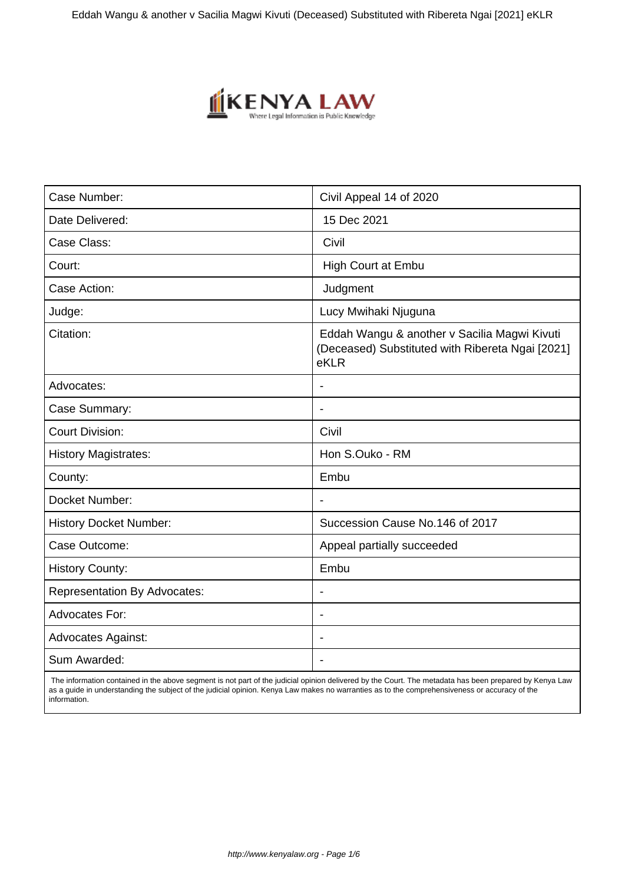

| Case Number:                        | Civil Appeal 14 of 2020                                                                                  |
|-------------------------------------|----------------------------------------------------------------------------------------------------------|
| Date Delivered:                     | 15 Dec 2021                                                                                              |
| Case Class:                         | Civil                                                                                                    |
| Court:                              | <b>High Court at Embu</b>                                                                                |
| Case Action:                        | Judgment                                                                                                 |
| Judge:                              | Lucy Mwihaki Njuguna                                                                                     |
| Citation:                           | Eddah Wangu & another v Sacilia Magwi Kivuti<br>(Deceased) Substituted with Ribereta Ngai [2021]<br>eKLR |
| Advocates:                          |                                                                                                          |
| Case Summary:                       | $\blacksquare$                                                                                           |
| <b>Court Division:</b>              | Civil                                                                                                    |
| <b>History Magistrates:</b>         | Hon S.Ouko - RM                                                                                          |
| County:                             | Embu                                                                                                     |
| Docket Number:                      | $\overline{\phantom{a}}$                                                                                 |
| <b>History Docket Number:</b>       | Succession Cause No.146 of 2017                                                                          |
| Case Outcome:                       | Appeal partially succeeded                                                                               |
| <b>History County:</b>              | Embu                                                                                                     |
| <b>Representation By Advocates:</b> | $\blacksquare$                                                                                           |
| <b>Advocates For:</b>               | $\overline{\phantom{a}}$                                                                                 |
| <b>Advocates Against:</b>           |                                                                                                          |
| Sum Awarded:                        |                                                                                                          |

 The information contained in the above segment is not part of the judicial opinion delivered by the Court. The metadata has been prepared by Kenya Law as a guide in understanding the subject of the judicial opinion. Kenya Law makes no warranties as to the comprehensiveness or accuracy of the information.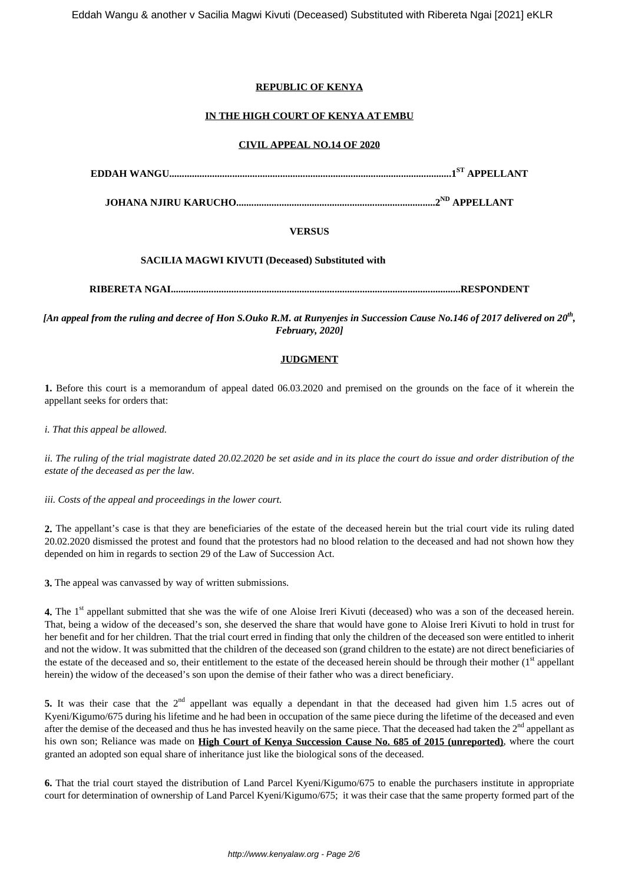# **REPUBLIC OF KENYA**

# **IN THE HIGH COURT OF KENYA AT EMBU**

#### **CIVIL APPEAL NO.14 OF 2020**

**EDDAH WANGU................................................................................................................1ST APPELLANT**

**JOHANA NJIRU KARUCHO...............................................................................2ND APPELLANT**

### **VERSUS**

### **SACILIA MAGWI KIVUTI (Deceased) Substituted with**

**RIBERETA NGAI...................................................................................................................RESPONDENT**

*[An appeal from the ruling and decree of Hon S.Ouko R.M. at Runyenjes in Succession Cause No.146 of 2017 delivered on 20th , February, 2020]*

## **JUDGMENT**

**1.** Before this court is a memorandum of appeal dated 06.03.2020 and premised on the grounds on the face of it wherein the appellant seeks for orders that:

*i. That this appeal be allowed.*

*ii. The ruling of the trial magistrate dated 20.02.2020 be set aside and in its place the court do issue and order distribution of the estate of the deceased as per the law.*

*iii. Costs of the appeal and proceedings in the lower court.*

**2.** The appellant's case is that they are beneficiaries of the estate of the deceased herein but the trial court vide its ruling dated 20.02.2020 dismissed the protest and found that the protestors had no blood relation to the deceased and had not shown how they depended on him in regards to section 29 of the Law of Succession Act.

**3.** The appeal was canvassed by way of written submissions.

**4.** The 1<sup>st</sup> appellant submitted that she was the wife of one Aloise Ireri Kivuti (deceased) who was a son of the deceased herein. That, being a widow of the deceased's son, she deserved the share that would have gone to Aloise Ireri Kivuti to hold in trust for her benefit and for her children. That the trial court erred in finding that only the children of the deceased son were entitled to inherit and not the widow. It was submitted that the children of the deceased son (grand children to the estate) are not direct beneficiaries of the estate of the deceased and so, their entitlement to the estate of the deceased herein should be through their mother  $(1<sup>st</sup>$  appellant herein) the widow of the deceased's son upon the demise of their father who was a direct beneficiary.

5. It was their case that the 2<sup>nd</sup> appellant was equally a dependant in that the deceased had given him 1.5 acres out of Kyeni/Kigumo/675 during his lifetime and he had been in occupation of the same piece during the lifetime of the deceased and even after the demise of the deceased and thus he has invested heavily on the same piece. That the deceased had taken the 2<sup>nd</sup> appellant as his own son; Reliance was made on **High Court of Kenya Succession Cause No. 685 of 2015 (unreported)**, where the court granted an adopted son equal share of inheritance just like the biological sons of the deceased.

**6.** That the trial court stayed the distribution of Land Parcel Kyeni/Kigumo/675 to enable the purchasers institute in appropriate court for determination of ownership of Land Parcel Kyeni/Kigumo/675; it was their case that the same property formed part of the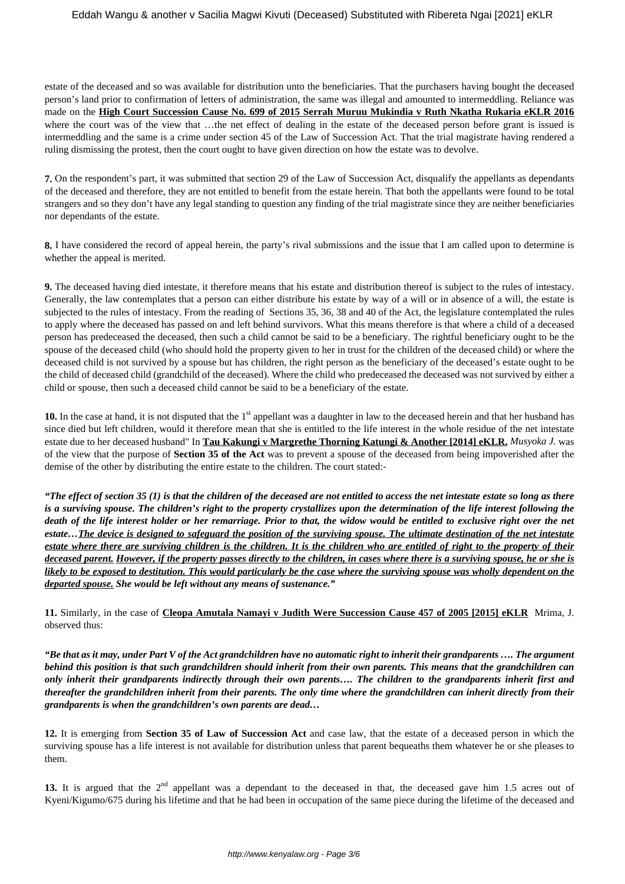estate of the deceased and so was available for distribution unto the beneficiaries. That the purchasers having bought the deceased person's land prior to confirmation of letters of administration, the same was illegal and amounted to intermeddling. Reliance was made on the **High Court Succession Cause No. 699 of 2015 Serrah Muruu Mukindia v Ruth Nkatha Rukaria eKLR 2016** where the court was of the view that …the net effect of dealing in the estate of the deceased person before grant is issued is intermeddling and the same is a crime under section 45 of the Law of Succession Act. That the trial magistrate having rendered a ruling dismissing the protest, then the court ought to have given direction on how the estate was to devolve.

**7.** On the respondent's part, it was submitted that section 29 of the Law of Succession Act, disqualify the appellants as dependants of the deceased and therefore, they are not entitled to benefit from the estate herein. That both the appellants were found to be total strangers and so they don't have any legal standing to question any finding of the trial magistrate since they are neither beneficiaries nor dependants of the estate.

**8.** I have considered the record of appeal herein, the party's rival submissions and the issue that I am called upon to determine is whether the appeal is merited.

**9.** The deceased having died intestate, it therefore means that his estate and distribution thereof is subject to the rules of intestacy. Generally, the law contemplates that a person can either distribute his estate by way of a will or in absence of a will, the estate is subjected to the rules of intestacy. From the reading of Sections 35, 36, 38 and 40 of the Act, the legislature contemplated the rules to apply where the deceased has passed on and left behind survivors. What this means therefore is that where a child of a deceased person has predeceased the deceased, then such a child cannot be said to be a beneficiary. The rightful beneficiary ought to be the spouse of the deceased child (who should hold the property given to her in trust for the children of the deceased child) or where the deceased child is not survived by a spouse but has children, the right person as the beneficiary of the deceased's estate ought to be the child of deceased child (grandchild of the deceased). Where the child who predeceased the deceased was not survived by either a child or spouse, then such a deceased child cannot be said to be a beneficiary of the estate.

**10.** In the case at hand, it is not disputed that the 1<sup>st</sup> appellant was a daughter in law to the deceased herein and that her husband has since died but left children, would it therefore mean that she is entitled to the life interest in the whole residue of the net intestate estate due to her deceased husband" In **Tau Kakungi v Margrethe Thorning Katungi & Another [2014] eKLR,** *Musyoka J.* was of the view that the purpose of **Section 35 of the Act** was to prevent a spouse of the deceased from being impoverished after the demise of the other by distributing the entire estate to the children. The court stated:-

*"The effect of section 35 (1) is that the children of the deceased are not entitled to access the net intestate estate so long as there is a surviving spouse. The children's right to the property crystallizes upon the determination of the life interest following the death of the life interest holder or her remarriage. Prior to that, the widow would be entitled to exclusive right over the net estate…The device is designed to safeguard the position of the surviving spouse. The ultimate destination of the net intestate estate where there are surviving children is the children. It is the children who are entitled of right to the property of their deceased parent. However, if the property passes directly to the children, in cases where there is a surviving spouse, he or she is likely to be exposed to destitution. This would particularly be the case where the surviving spouse was wholly dependent on the departed spouse. She would be left without any means of sustenance."* 

**11.** Similarly, in the case of **Cleopa Amutala Namayi v Judith Were Succession Cause 457 of 2005 [2015] eKLR** Mrima, J. observed thus:

*"Be that as it may, under Part V of the Act grandchildren have no automatic right to inherit their grandparents …. The argument behind this position is that such grandchildren should inherit from their own parents. This means that the grandchildren can only inherit their grandparents indirectly through their own parents…. The children to the grandparents inherit first and thereafter the grandchildren inherit from their parents. The only time where the grandchildren can inherit directly from their grandparents is when the grandchildren's own parents are dead…*

**12.** It is emerging from **Section 35 of Law of Succession Act** and case law, that the estate of a deceased person in which the surviving spouse has a life interest is not available for distribution unless that parent bequeaths them whatever he or she pleases to them.

13. It is argued that the 2<sup>nd</sup> appellant was a dependant to the deceased in that, the deceased gave him 1.5 acres out of Kyeni/Kigumo/675 during his lifetime and that he had been in occupation of the same piece during the lifetime of the deceased and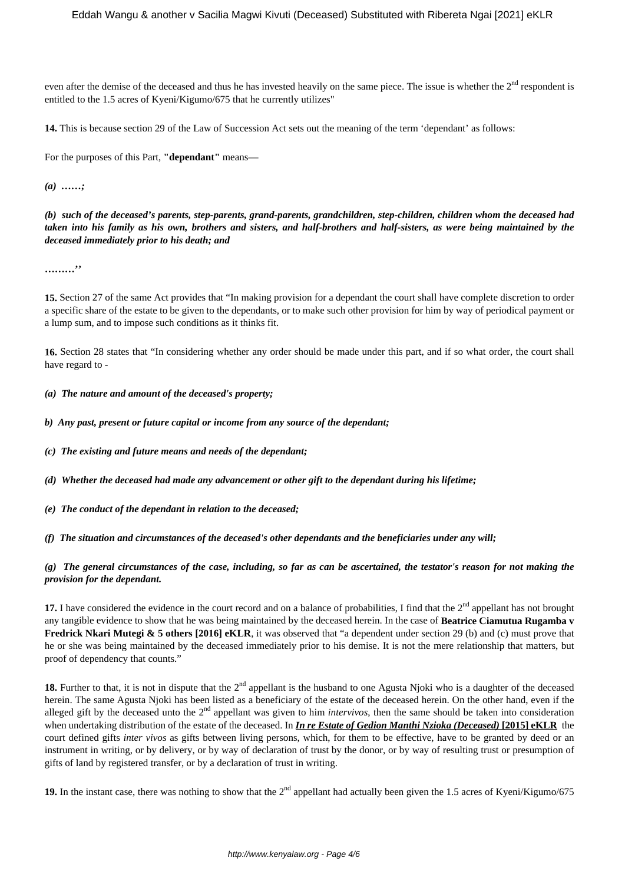even after the demise of the deceased and thus he has invested heavily on the same piece. The issue is whether the 2<sup>nd</sup> respondent is entitled to the 1.5 acres of Kyeni/Kigumo/675 that he currently utilizes"

**14.** This is because section 29 of the Law of Succession Act sets out the meaning of the term 'dependant' as follows:

For the purposes of this Part, **"dependant"** means—

*(a) ……;*

*(b) such of the deceased's parents, step-parents, grand-parents, grandchildren, step-children, children whom the deceased had taken into his family as his own, brothers and sisters, and half-brothers and half-sisters, as were being maintained by the deceased immediately prior to his death; and*

**………''**

**15.** Section 27 of the same Act provides that "In making provision for a dependant the court shall have complete discretion to order a specific share of the estate to be given to the dependants, or to make such other provision for him by way of periodical payment or a lump sum, and to impose such conditions as it thinks fit.

**16.** Section 28 states that "In considering whether any order should be made under this part, and if so what order, the court shall have regard to -

*(a) The nature and amount of the deceased's property;*

*b) Any past, present or future capital or income from any source of the dependant;*

*(c) The existing and future means and needs of the dependant;*

*(d) Whether the deceased had made any advancement or other gift to the dependant during his lifetime;*

*(e) The conduct of the dependant in relation to the deceased;*

*(f) The situation and circumstances of the deceased's other dependants and the beneficiaries under any will;*

## *(g) The general circumstances of the case, including, so far as can be ascertained, the testator's reason for not making the provision for the dependant.*

**17.** I have considered the evidence in the court record and on a balance of probabilities, I find that the 2<sup>nd</sup> appellant has not brought any tangible evidence to show that he was being maintained by the deceased herein. In the case of **Beatrice Ciamutua Rugamba v Fredrick Nkari Mutegi & 5 others [2016] eKLR**, it was observed that "a dependent under section 29 (b) and (c) must prove that he or she was being maintained by the deceased immediately prior to his demise. It is not the mere relationship that matters, but proof of dependency that counts."

18. Further to that, it is not in dispute that the 2<sup>nd</sup> appellant is the husband to one Agusta Njoki who is a daughter of the deceased herein. The same Agusta Njoki has been listed as a beneficiary of the estate of the deceased herein. On the other hand, even if the alleged gift by the deceased unto the 2<sup>nd</sup> appellant was given to him *intervivos*, then the same should be taken into consideration when undertaking distribution of the estate of the deceased. In *In re Estate of Gedion Manthi Nzioka (Deceased)* **[2015] eKLR** the court defined gifts *inter vivos* as gifts between living persons, which, for them to be effective, have to be granted by deed or an instrument in writing, or by delivery, or by way of declaration of trust by the donor, or by way of resulting trust or presumption of gifts of land by registered transfer, or by a declaration of trust in writing.

**19.** In the instant case, there was nothing to show that the 2<sup>nd</sup> appellant had actually been given the 1.5 acres of Kyeni/Kigumo/675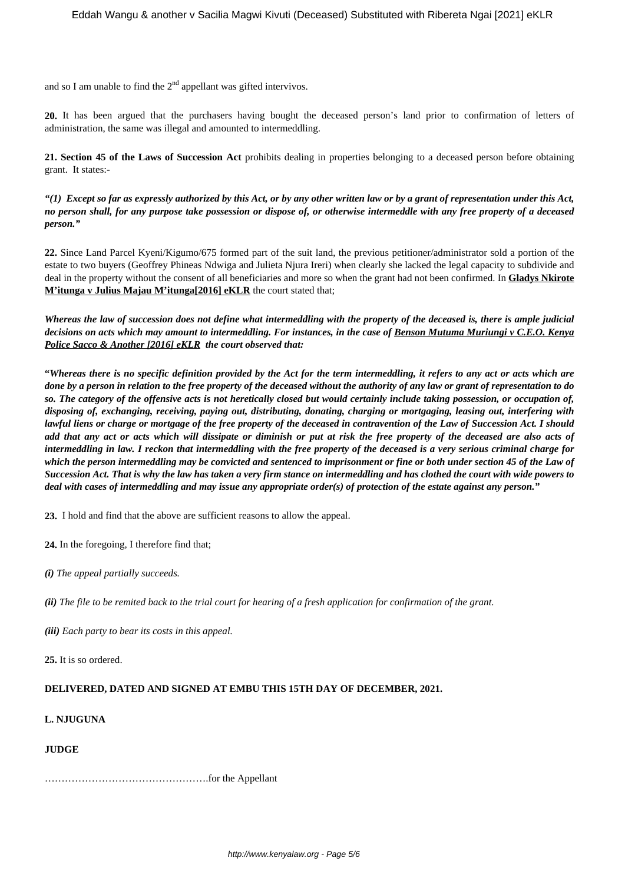and so I am unable to find the  $2<sup>nd</sup>$  appellant was gifted intervivos.

**20.** It has been argued that the purchasers having bought the deceased person's land prior to confirmation of letters of administration, the same was illegal and amounted to intermeddling.

**21. Section 45 of the Laws of Succession Act** prohibits dealing in properties belonging to a deceased person before obtaining grant. It states:-

*"(1) Except so far as expressly authorized by this Act, or by any other written law or by a grant of representation under this Act, no person shall, for any purpose take possession or dispose of, or otherwise intermeddle with any free property of a deceased person."*

**22.** Since Land Parcel Kyeni/Kigumo/675 formed part of the suit land, the previous petitioner/administrator sold a portion of the estate to two buyers (Geoffrey Phineas Ndwiga and Julieta Njura Ireri) when clearly she lacked the legal capacity to subdivide and deal in the property without the consent of all beneficiaries and more so when the grant had not been confirmed. In **Gladys Nkirote M'itunga v Julius Majau M'itunga[2016] eKLR** the court stated that;

*Whereas the law of succession does not define what intermeddling with the property of the deceased is, there is ample judicial decisions on acts which may amount to intermeddling. For instances, in the case of Benson Mutuma Muriungi v C.E.O. Kenya Police Sacco & Another [2016] eKLR the court observed that:*

**"***Whereas there is no specific definition provided by the Act for the term intermeddling, it refers to any act or acts which are done by a person in relation to the free property of the deceased without the authority of any law or grant of representation to do so. The category of the offensive acts is not heretically closed but would certainly include taking possession, or occupation of, disposing of, exchanging, receiving, paying out, distributing, donating, charging or mortgaging, leasing out, interfering with lawful liens or charge or mortgage of the free property of the deceased in contravention of the Law of Succession Act. I should add that any act or acts which will dissipate or diminish or put at risk the free property of the deceased are also acts of intermeddling in law. I reckon that intermeddling with the free property of the deceased is a very serious criminal charge for which the person intermeddling may be convicted and sentenced to imprisonment or fine or both under section 45 of the Law of Succession Act. That is why the law has taken a very firm stance on intermeddling and has clothed the court with wide powers to deal with cases of intermeddling and may issue any appropriate order(s) of protection of the estate against any person."*

**23.** I hold and find that the above are sufficient reasons to allow the appeal.

**24.** In the foregoing, I therefore find that;

*(i) The appeal partially succeeds.*

*(ii) The file to be remited back to the trial court for hearing of a fresh application for confirmation of the grant.*

*(iii) Each party to bear its costs in this appeal.*

**25.** It is so ordered.

### **DELIVERED, DATED AND SIGNED AT EMBU THIS 15TH DAY OF DECEMBER, 2021.**

- **L. NJUGUNA**
- **JUDGE**

………………………………………….for the Appellant